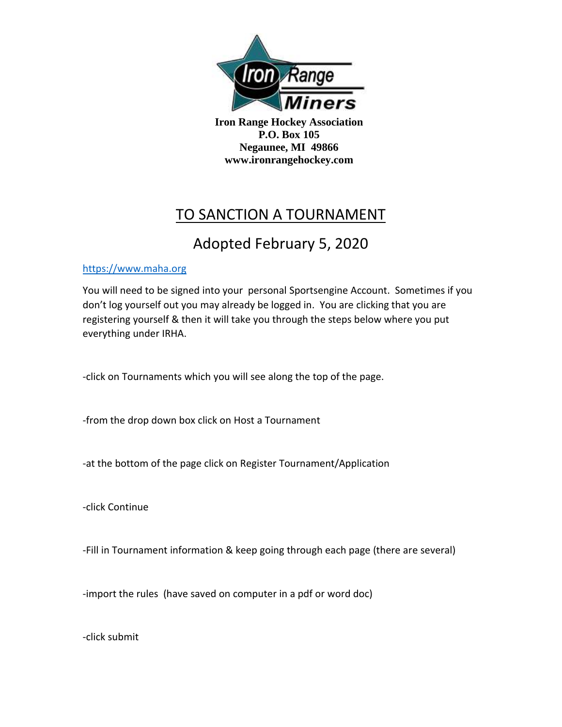

**Iron Range Hockey Association P.O. Box 105 Negaunee, MI 49866 www.ironrangehockey.com**

## TO SANCTION A TOURNAMENT

## Adopted February 5, 2020

## [https://www.maha.org](https://www.maha.org/)

You will need to be signed into your personal Sportsengine Account. Sometimes if you don't log yourself out you may already be logged in. You are clicking that you are registering yourself & then it will take you through the steps below where you put everything under IRHA.

-click on Tournaments which you will see along the top of the page.

-from the drop down box click on Host a Tournament

-at the bottom of the page click on Register Tournament/Application

-click Continue

-Fill in Tournament information & keep going through each page (there are several)

-import the rules (have saved on computer in a pdf or word doc)

-click submit